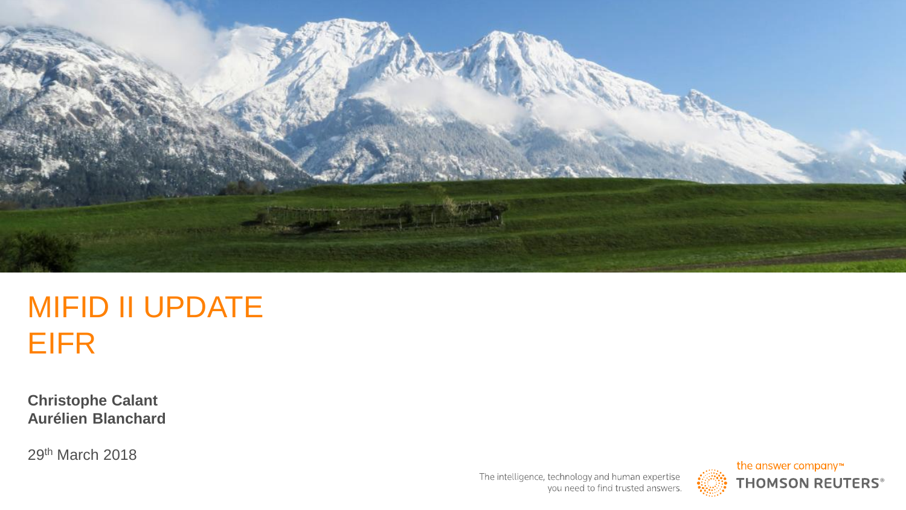

# MIFID II UPDATE EIFR

**Christophe Calant Aurélien Blanchard**

29th March 2018

The intelligence, technology and human expertise you need to find trusted answers.

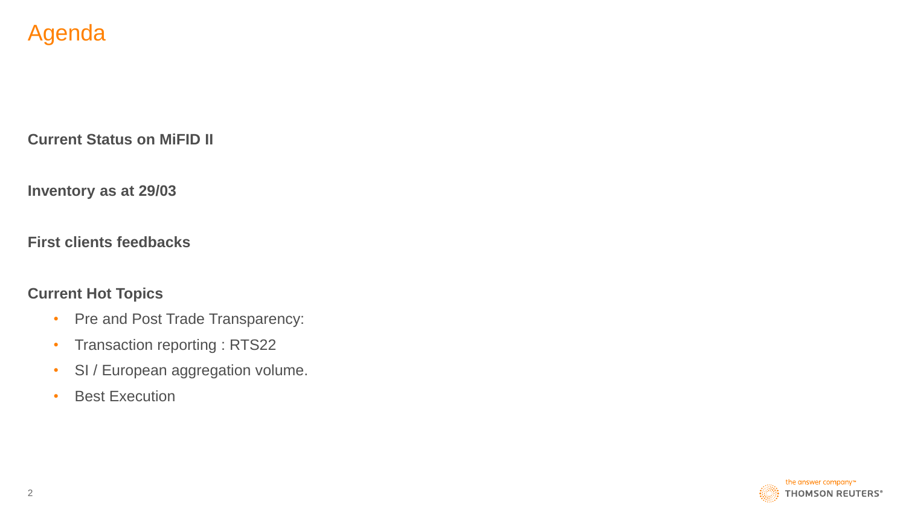## Agenda

**Current Status on MiFID II**

**Inventory as at 29/03**

**First clients feedbacks**

#### **Current Hot Topics**

- Pre and Post Trade Transparency:
- Transaction reporting : RTS22
- SI / European aggregation volume.
- Best Execution

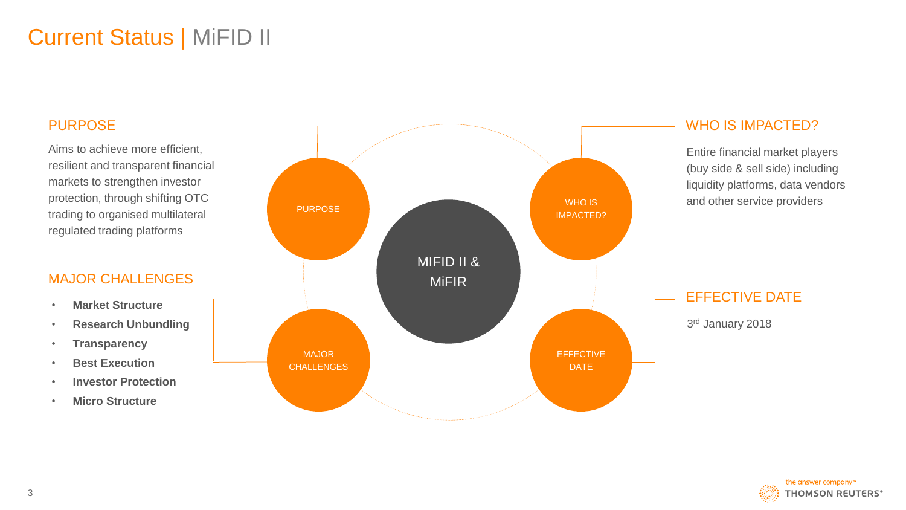# Current Status | MiFID II

#### PURPOSE -

Aims to achieve more efficient, resilient and transparent financial markets to strengthen investor protection, through shifting OTC trading to organised multilateral regulated trading platforms

#### MAJOR CHALLENGES

- **Market Structure**
- **Research Unbundling**
- **Transparency**
- **Best Execution**
- **Investor Protection**
- **Micro Structure**



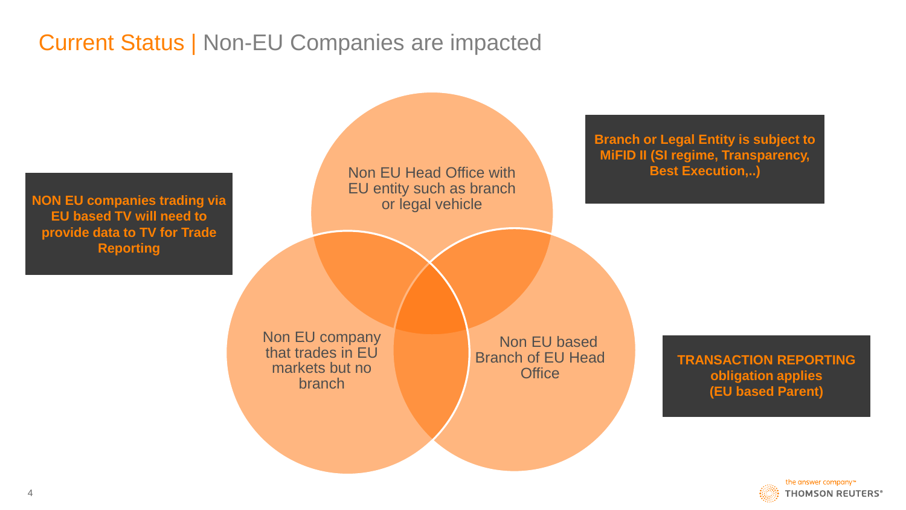# Current Status | Non-EU Companies are impacted



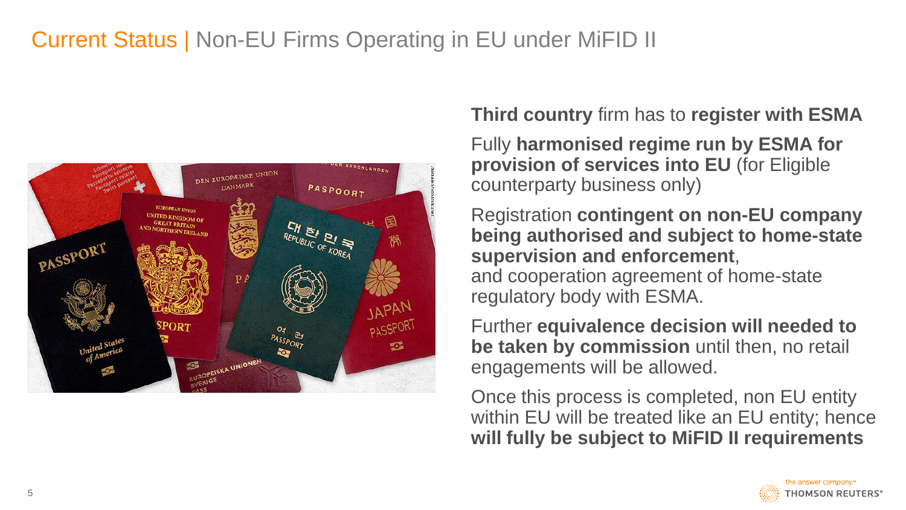# Current Status | Non-EU Firms Operating in EU under MiFID II



### **Third country firm has to register with ESMA**

Fully **harmonised regime run by ESMA for provision of services into EU** (for Eligible counterparty business only)

Registration **contingent on non-EU company being authorised and subject to home-state supervision and enforcement**, and cooperation agreement of home-state regulatory body with ESMA.

Further **equivalence decision will needed to be taken by commission** until then, no retail engagements will be allowed.

Once this process is completed, non EU entity within EU will be treated like an EU entity; hence **will fully be subject to MiFID II requirements** 

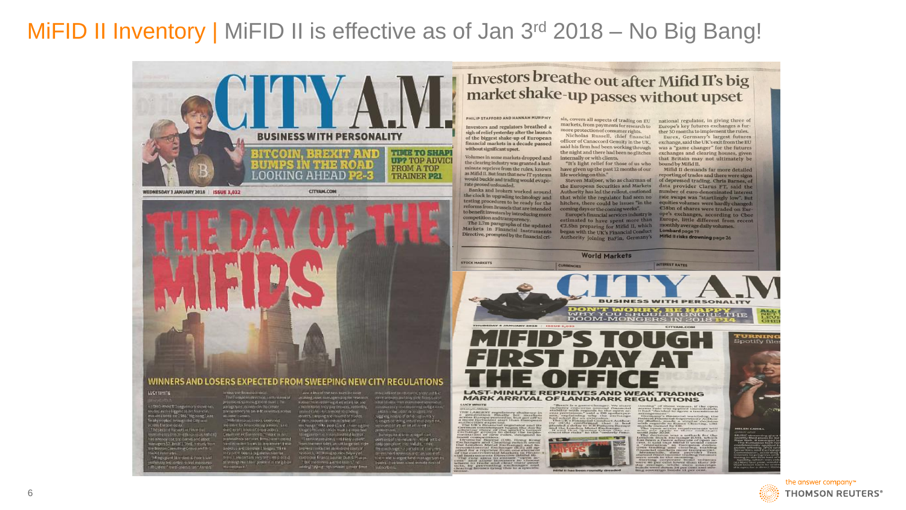## MiFID II Inventory | MiFID II is effective as of Jan 3<sup>rd</sup> 2018 – No Big Bang!



WEDNESDAY 3 JANUARY 2018 | ISSUE 3,032

**CITYAN, COM** 



#### WINNERS AND LOSERS EXPECTED FROM SWEEPING NEW CITY REGULATIONS

#### LUCYVINTE

.<br>outed as his largest to his front to:<br>month, when the 1966, the bang (and<br>month, when the 1966, the bang (and conditionals in Fire and s\$2.1bm1ET.5bmLn.study.fro .<br>Altres givet Standard & Poor's said<br>Borente " road assetsting" Annes" serous the Research Fords<br>The Forepoint decree continuous of<br>promises spot as grown that 1.7m<br>paragraphs decree for the control street prima among to be a to inventors at all and classes<br>
The large state of the state of the state of the state of the state of the state of the state of the state of<br>
The state of the state of the state of the state of the state of the state of the state of the

 $\begin{minipage}[t]{.75\textwidth} \begin{tabular}{l} \hline \textbf{3.64} & \textbf{5.64} & \textbf{6.64} & \textbf{6.64} & \textbf{6.64} & \textbf{6.64} & \textbf{6.64} & \textbf{6.64} \\ \hline \textbf{4.64} & \textbf{6.64} & \textbf{6.64} & \textbf{6.64} & \textbf{6.64} & \textbf{6.64} & \textbf{6.64} \\ \hline \textbf{5.64} & \textbf{6.64} & \textbf{6.64} & \textbf{6.6$ and put in the primary the state of the state of the state of the state of the state of the state of the state of the state of the state of the state of the state of the state of the state of the state of the state of the

move reliant on research, translate for<br>voice landers and imports from some<br>translates mail man more streamers<br>autobacking and read ling outlighter 

.Nett, happen on the resolution of<br>to hange 1984, pod 41, and 1918 rung the<br>high bifford is instandantial dollar.com<br>the print bis is the identity of bifford represident with the typical .<br>Johanna film relative alles yeth en Horrienv salek, an ruit large sell vi<br>Piera salektus an atrio (bitre constant research, accoming to loss Severy of<br>companie Kranto aeviser Dull & Mixeps<br>- But them there are the losses," to<br>added," Along : sth omaler typical firms are estimated responsible to and then some exit.

 $\begin{tabular}{l|c|c|c|c|c|c|c} \hline \multicolumn{4}{c}{\multicolumn{4}{c}{\multicolumn{4}{c}{\multicolumn{4}{c}{\multicolumn{4}{c}{\multicolumn{4}{c}{\multicolumn{4}{c}{\multicolumn{4}{c}{\multicolumn{4}{c}{\multicolumn{4}{c}{\multicolumn{4}{c}{\multicolumn{4}{c}{\multicolumn{4}{c}{\multicolumn{4}{c}{\multicolumn{4}{c}{\multicolumn{4}{c}{\multicolumn{4}{c}{\multicolumn{4}{c}{\multicolumn{4}{c}{\multicolumn{4}{c}{\multicolumn{4}{c}{\multicolumn{4$ 

compress that initials, critics<br>to change - a particle lat.com in<br>strivent reservations last some **College child** 

**LUCY WHITE** 

**HE LARGEST** 

#### Investors breathe out after Mifid II's big market shake-up passes without upset

PHILIP STAFFORD AND HANNAH MURPHY Investors and regulators breathed a sigh of relief yesterday after the launch of the biggest shake-up of European financial markets in a decade passed

without significant upset. Volumes in some markets dropped and the clearing industry was granted a lastminute reprieve from the rules, known as Mifid II. But fears that new IT systems life working on this." rate proved unfounded.

connectition and transparency.

markets, from payments for research to more protection of consumer rights. Nicholas Russell, chief financial said his firm had been working through the night and there had been no glitches internally or with clients.

"It's light relief for those of us who bound by Mifid II. have given up the past 12 months of our

**World Markets** 

sis, covers all aspects of trading on EU national regulator, in giving three of Europe's key futures exchanges a further 30 months to implement the rules. Eurex, Germany's largest futures officer of Canaccord Genuity in the UK, exchange, said the UK's exit from the EU was a "game changer" for the futures exchanges and clearing houses, given that Britain may not ultimately be

Mifid II demands far more detailed reporting of trades and there were signs would buckle and trading would evaposition of the European Seven Maijoor, who as chairman of of depressed trading. Chris Barnes, of the European Securities and Markets data provider Clarus FT, said the European Securities Steven Maijoor, who as chairman of of depressed trading. Chris Barnes, of E38bn of shares were traded on Europe's exchanges, according to Cboe Europe, little different from recent monthly average daily volumes. Lombard page 19

Mifid II risks drowning page 26

INTEREST RATES

**BUSINESS WITH PERSONALITY** DOOM-MONGERY, BE HAPPY<br>MHY YOU SHOULD IGNORE THE<br>DOOM-MONGERS IN 2018 PLA *FURNIN*  $\bullet$ **Spotify file LAST-MINUTE REPRIEVES AND WEAK TRADING MARK ARRIVAL OF LANDMARK REGULATIONS** 

hange) and In<br>se (ICE) all at

**Page 19** 



**THOMSON REUTERS®**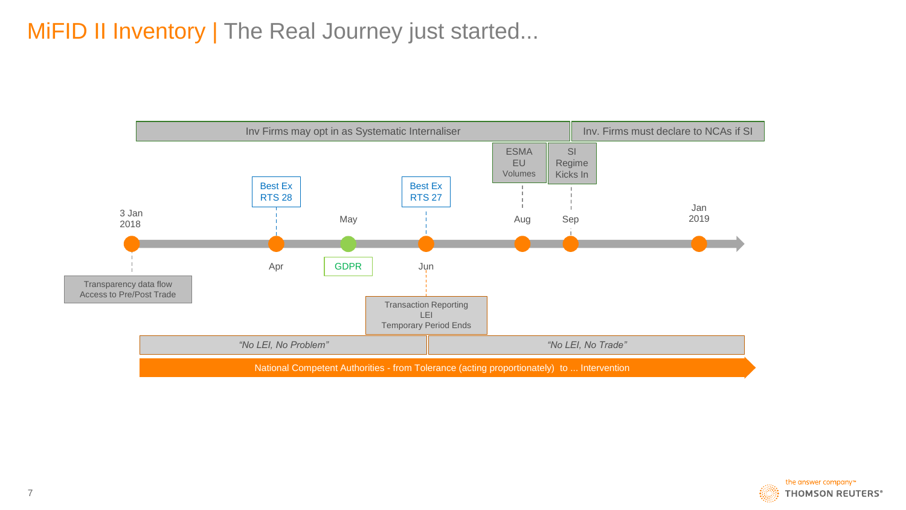# MiFID II Inventory | The Real Journey just started...



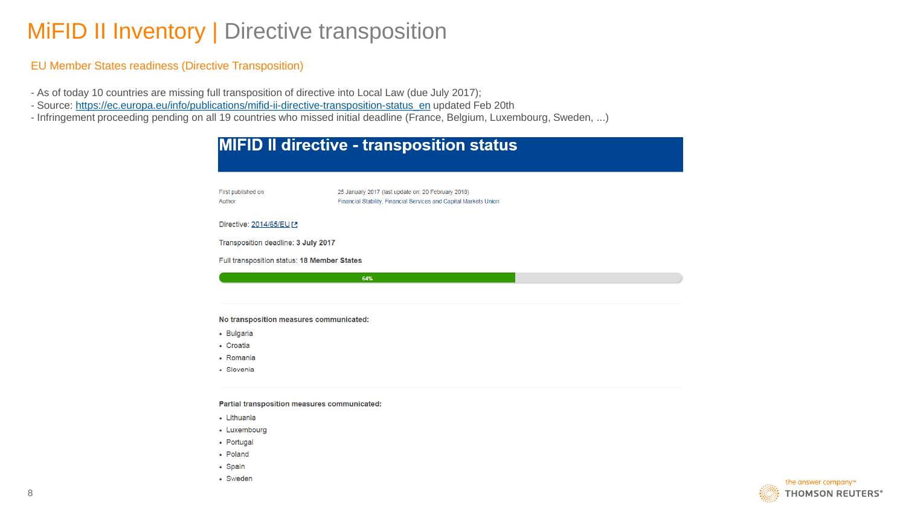## MiFID II Inventory | Directive transposition

#### EU Member States readiness (Directive Transposition)

- As of today 10 countries are missing full transposition of directive into Local Law (due July 2017);
- Source: [https://ec.europa.eu/info/publications/mifid-ii-directive-transposition-status\\_en](https://ec.europa.eu/info/publications/mifid-ii-directive-transposition-status_en) updated Feb 20th
- Infringement proceeding pending on all 19 countries who missed initial deadline (France, Belgium, Luxembourg, Sweden, ...)

| <b>MIFID II directive - transposition status</b> |                                                                                                                         |  |  |  |  |  |
|--------------------------------------------------|-------------------------------------------------------------------------------------------------------------------------|--|--|--|--|--|
| First published on<br>Author                     | 25 January 2017 (last update on: 20 February 2018)<br>Financial Stability, Financial Services and Capital Markets Union |  |  |  |  |  |
| Directive: 2014/65/EU [2                         |                                                                                                                         |  |  |  |  |  |
| Transposition deadline: 3 July 2017              |                                                                                                                         |  |  |  |  |  |
| Full transposition status: 18 Member States      |                                                                                                                         |  |  |  |  |  |
|                                                  | 64%                                                                                                                     |  |  |  |  |  |
|                                                  |                                                                                                                         |  |  |  |  |  |
| No transposition measures communicated:          |                                                                                                                         |  |  |  |  |  |
| • Bulgaria                                       |                                                                                                                         |  |  |  |  |  |
| • Croatia                                        |                                                                                                                         |  |  |  |  |  |
| • Romania                                        |                                                                                                                         |  |  |  |  |  |
| • Slovenia                                       |                                                                                                                         |  |  |  |  |  |
| Partial transposition measures communicated:     |                                                                                                                         |  |  |  |  |  |
| - Lithuania                                      |                                                                                                                         |  |  |  |  |  |
| • Luxembourg                                     |                                                                                                                         |  |  |  |  |  |
| • Portugal                                       |                                                                                                                         |  |  |  |  |  |

- Poland
- Spain
- Sweden

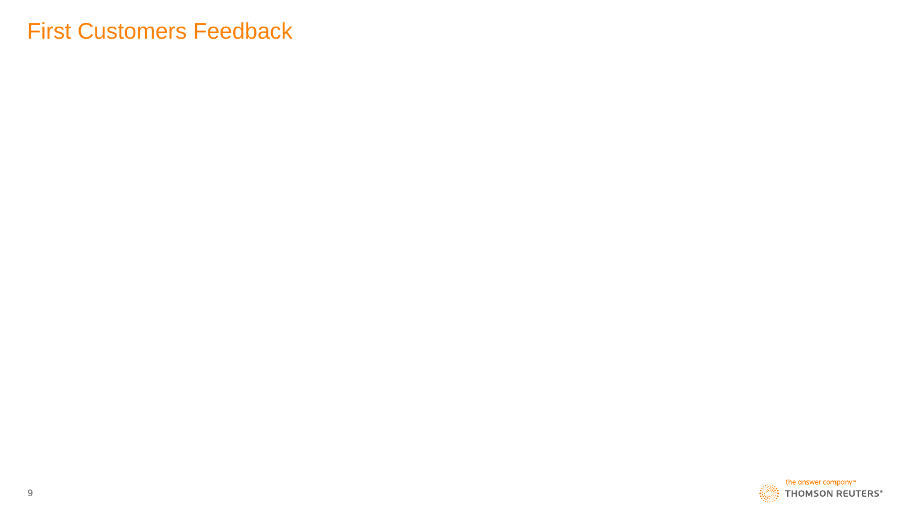## First Customers Feedback

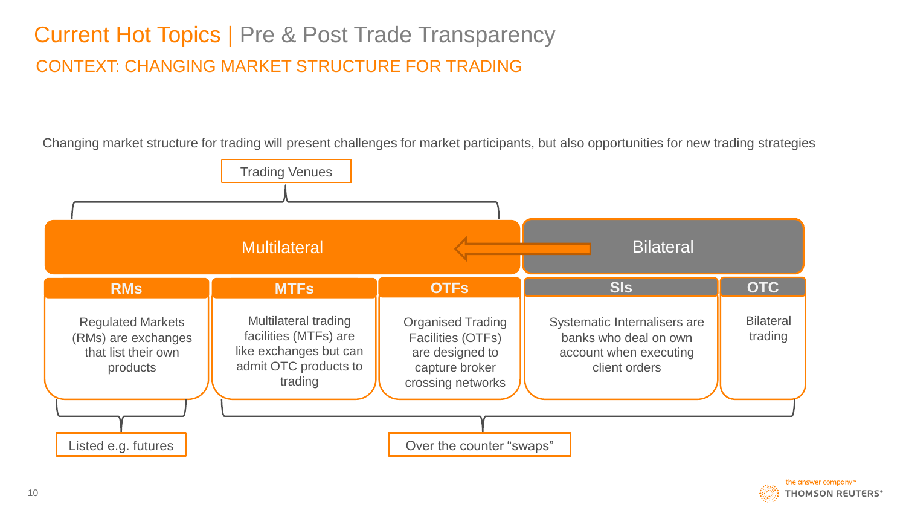# CONTEXT: CHANGING MARKET STRUCTURE FOR TRADING Current Hot Topics | Pre & Post Trade Transparency

Changing market structure for trading will present challenges for market participants, but also opportunities for new trading strategies



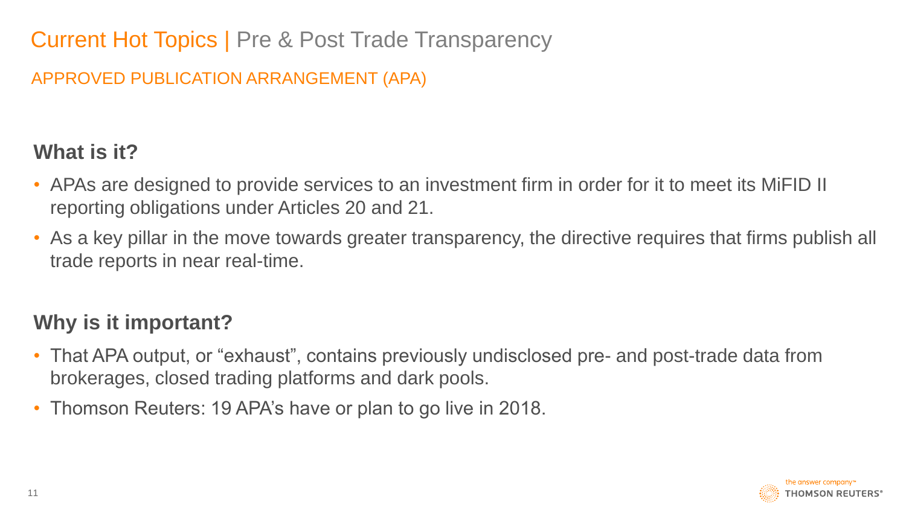# Current Hot Topics | Pre & Post Trade Transparency

### APPROVED PUBLICATION ARRANGEMENT (APA)

## **What is it?**

- APAs are designed to provide services to an investment firm in order for it to meet its MiFID II reporting obligations under Articles 20 and 21.
- As a key pillar in the move towards greater transparency, the directive requires that firms publish all trade reports in near real-time.

## **Why is it important?**

- That APA output, or "exhaust", contains previously undisclosed pre- and post-trade data from brokerages, closed trading platforms and dark pools.
- Thomson Reuters: 19 APA's have or plan to go live in 2018.

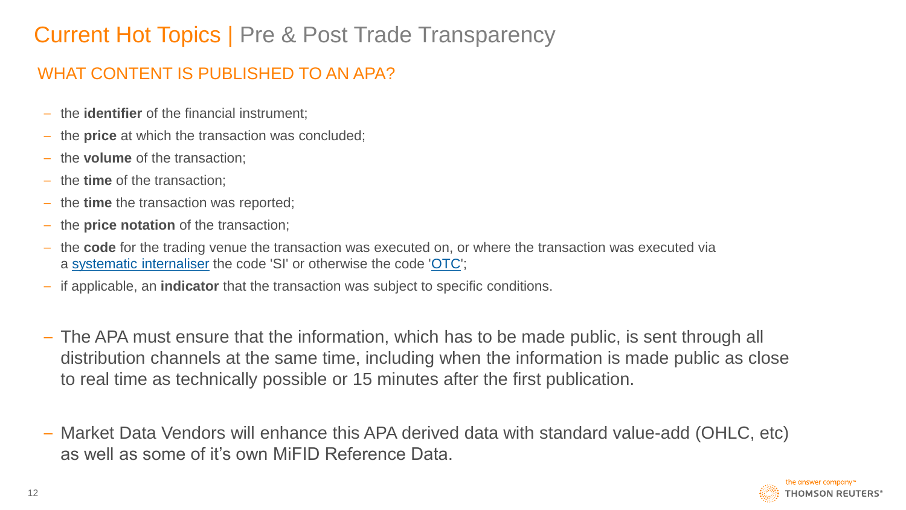# Current Hot Topics | Pre & Post Trade Transparency

### WHAT CONTENT IS PUBLISHED TO AN APA?

- the **identifier** of the financial instrument;
- the **price** at which the transaction was concluded;
- the **volume** of the transaction;
- the **time** of the transaction;
- the **time** the transaction was reported;
- the **price notation** of the transaction;
- the **code** for the trading venue the transaction was executed on, or where the transaction was executed via a [systematic internaliser](https://www.emissions-euets.com/systematic-internaliser) the code 'SI' or otherwise the code '[OTC](https://www.emissions-euets.com/internal-electricity-market-glossary/462-over-the-counter-or-otc-)';
- if applicable, an **indicator** that the transaction was subject to specific conditions.
- The APA must ensure that the information, which has to be made public, is sent through all distribution channels at the same time, including when the information is made public as close to real time as technically possible or 15 minutes after the first publication.
- Market Data Vendors will enhance this APA derived data with standard value-add (OHLC, etc) as well as some of it's own MiFID Reference Data.

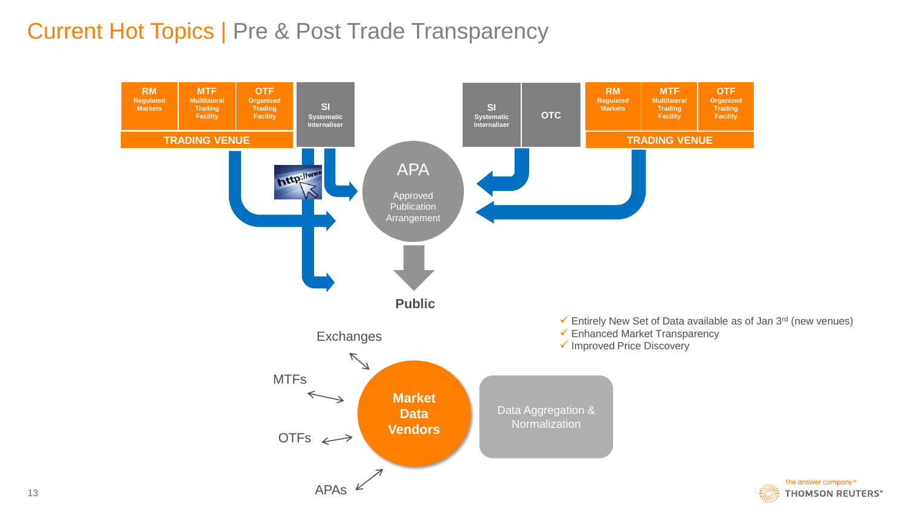## Current Hot Topics | Pre & Post Trade Transparency

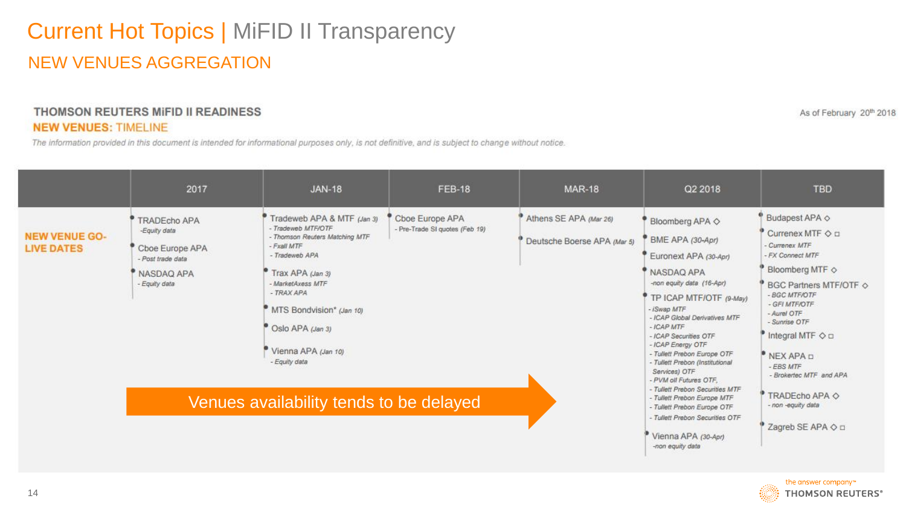# Current Hot Topics | MiFID II Transparency NEW VENUES AGGREGATION

#### THOMSON REUTERS MIFID II READINESS **NEW VENUES: TIMELINE**

The information provided in this document is intended for informational purposes only, is not definitive, and is subject to change without notice.

| 2017                                                                                                | <b>JAN-18</b>                                                                                                                                                                                                                                                      | <b>FEB-18</b>                                     | <b>MAR-18</b>                                         | Q2 2018                                                                                                                                                                                                                                                                                                                                                              | <b>TBD</b>                                                                                                                                                                                                                                                                                                              |
|-----------------------------------------------------------------------------------------------------|--------------------------------------------------------------------------------------------------------------------------------------------------------------------------------------------------------------------------------------------------------------------|---------------------------------------------------|-------------------------------------------------------|----------------------------------------------------------------------------------------------------------------------------------------------------------------------------------------------------------------------------------------------------------------------------------------------------------------------------------------------------------------------|-------------------------------------------------------------------------------------------------------------------------------------------------------------------------------------------------------------------------------------------------------------------------------------------------------------------------|
| TRADEcho APA<br>-Equity data<br>Cboe Europe APA<br>- Post trade data<br>NASDAQ APA<br>- Equity data | Tradeweb APA & MTF (Jan 3)<br>- Tradeweb MTF/OTF<br>- Thomson Reuters Matching MTF<br>- Fxall MTF<br>- Tradeweb APA<br>Trax APA (Jan 3)<br>- MarketAxess MTF<br>- TRAX APA<br>MTS Bondvision* (Jan 10)<br>Oslo APA (Jan 3)<br>Vienna APA (Jan 10)<br>- Equity data | Cboe Europe APA<br>- Pre-Trade SI quotes (Feb 19) | Athens SE APA (Mar 26)<br>Deutsche Boerse APA (Mar 5) | Bloomberg APA $\diamond$<br>BME APA (30-Apr)<br>Euronext APA (30-Apr)<br>NASDAQ APA<br>-non equity data (16-Apr)<br>TP ICAP MTF/OTF (9-May)<br>- ISwap MTF<br>- ICAP Global Derivatives MTF<br>$-ICAPMTF$<br>- ICAP Securities OTF<br>- ICAP Energy OTF<br>- Tullett Prebon Europe OTF<br>- Tullett Prebon (Institutional<br>Services) OTF<br>- PVM oil Futures OTF, | Budapest APA $\diamond$<br>Currenex MTF $\Diamond$ $\Box$<br>- Currenex MTF<br>- FX Connect MTF<br>Bloomberg MTF $\diamond$<br>BGC Partners MTF/OTF $\diamond$<br>- BGC MTF/OTF<br>- GFI MTF/OTF<br>- Aurel OTF<br>- Sunrise OTF<br>Integral MTF $\Diamond$ $\Box$<br>NEX APA D<br>- EBS MTF<br>- Brokertec MTF and APA |
|                                                                                                     |                                                                                                                                                                                                                                                                    |                                                   |                                                       | - Tullett Prebon Europe MTF<br>- Tullett Prebon Europe OTF<br>- Tullett Prebon Securities OTF                                                                                                                                                                                                                                                                        | TRADEcho APA $\diamond$<br>- non-equity data<br>Zagreb SE APA $\Diamond$ 0                                                                                                                                                                                                                                              |
|                                                                                                     |                                                                                                                                                                                                                                                                    |                                                   | Venues availability tends to be delayed               |                                                                                                                                                                                                                                                                                                                                                                      | - Tullett Prebon Securities MTF<br>Vienna APA (30-And)                                                                                                                                                                                                                                                                  |

-non equity data



As of February 20th 2018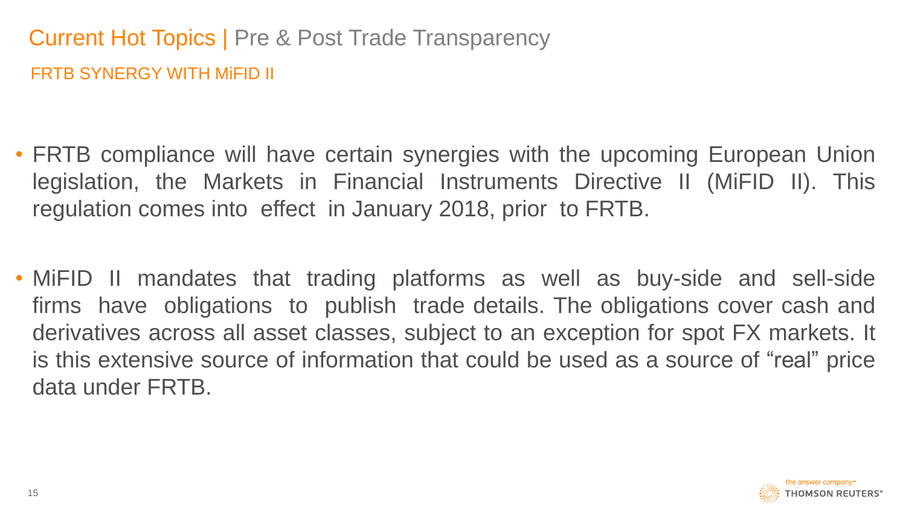# Current Hot Topics | Pre & Post Trade Transparency FRTB SYNERGY WITH MiFID II

- FRTB compliance will have certain synergies with the upcoming European Union legislation, the Markets in Financial Instruments Directive II (MiFID II). This regulation comes into effect in January 2018, prior to FRTB.
- MiFID II mandates that trading platforms as well as buy-side and sell-side firms have obligations to publish trade details. The obligations cover cash and derivatives across all asset classes, subject to an exception for spot FX markets. It is this extensive source of information that could be used as a source of "real" price data under FRTB.

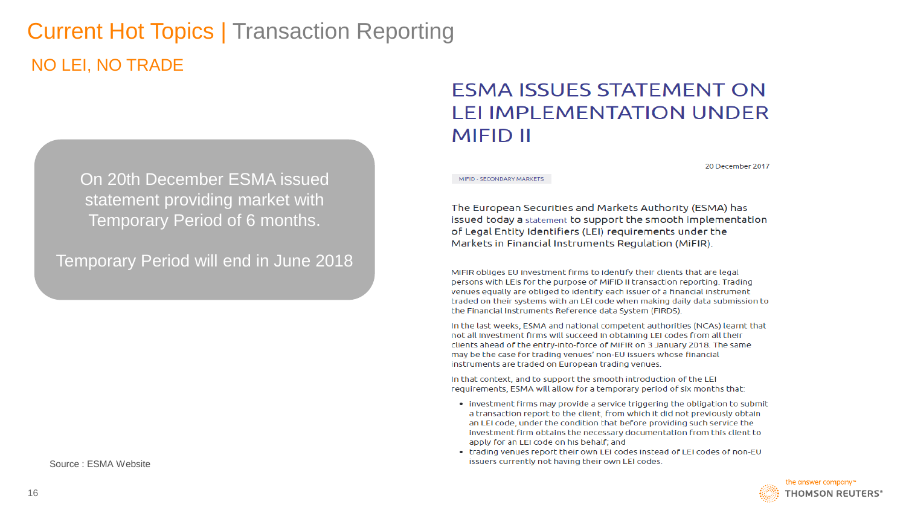# Current Hot Topics | Transaction Reporting NO LEI, NO TRADE

On 20th December ESMA issued statement providing market with Temporary Period of 6 months.

Temporary Period will end in June 2018

Source : ESMA Website

### **ESMA ISSUES STATEMENT ON LELIMPLEMENTATION UNDER MIFID II**

20 December 2017

MIFID - SECONDARY MARKETS

The European Securities and Markets Authority (ESMA) has issued today a statement to support the smooth implementation of Legal Entity Identifiers (LEI) requirements under the Markets in Financial Instruments Regulation (MiFIR).

MiFIR obliges EU investment firms to identify their clients that are legal persons with LEIs for the purpose of MIFID II transaction reporting. Trading venues equally are obliged to identify each issuer of a financial instrument traded on their systems with an LEI code when making daily data submission to the Financial Instruments Reference data System (FIRDS).

In the last weeks, ESMA and national competent authorities (NCAs) learnt that not all investment firms will succeed in obtaining LEI codes from all their clients ahead of the entry-into-force of MiFIR on 3 January 2018. The same may be the case for trading venues' non-EU issuers whose financial instruments are traded on European trading venues.

In that context, and to support the smooth introduction of the LEI requirements, ESMA will allow for a temporary period of six months that:

- investment firms may provide a service triggering the obligation to submit a transaction report to the client, from which it did not previously obtain an LEI code, under the condition that before providing such service the investment firm obtains the necessary documentation from this client to apply for an LEI code on his behalf; and
- trading venues report their own LEI codes instead of LEI codes of non-EU issuers currently not having their own LEI codes.

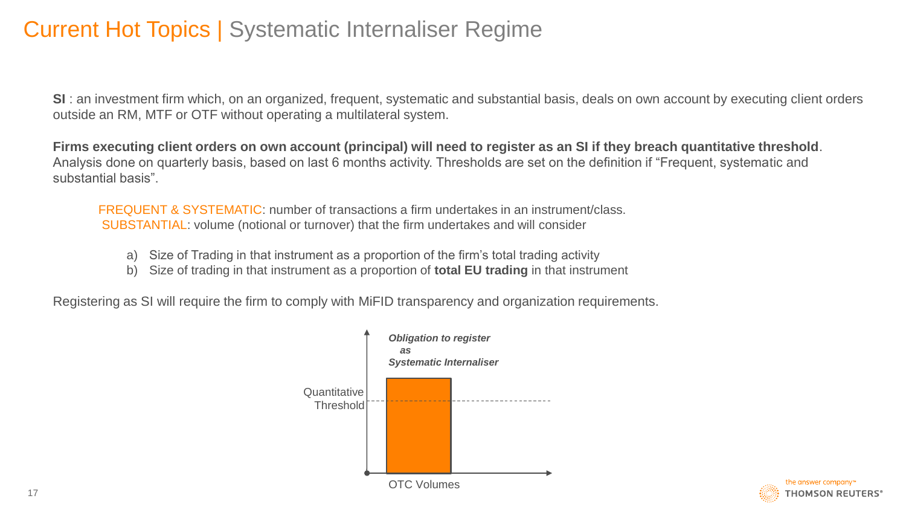## Current Hot Topics | Systematic Internaliser Regime

**SI** : an investment firm which, on an organized, frequent, systematic and substantial basis, deals on own account by executing client orders outside an RM, MTF or OTF without operating a multilateral system.

**Firms executing client orders on own account (principal) will need to register as an SI if they breach quantitative threshold**. Analysis done on quarterly basis, based on last 6 months activity. Thresholds are set on the definition if "Frequent, systematic and substantial basis".

FREQUENT & SYSTEMATIC: number of transactions a firm undertakes in an instrument/class. SUBSTANTIAL: volume (notional or turnover) that the firm undertakes and will consider

- a) Size of Trading in that instrument as a proportion of the firm's total trading activity
- b) Size of trading in that instrument as a proportion of **total EU trading** in that instrument

Registering as SI will require the firm to comply with MiFID transparency and organization requirements.



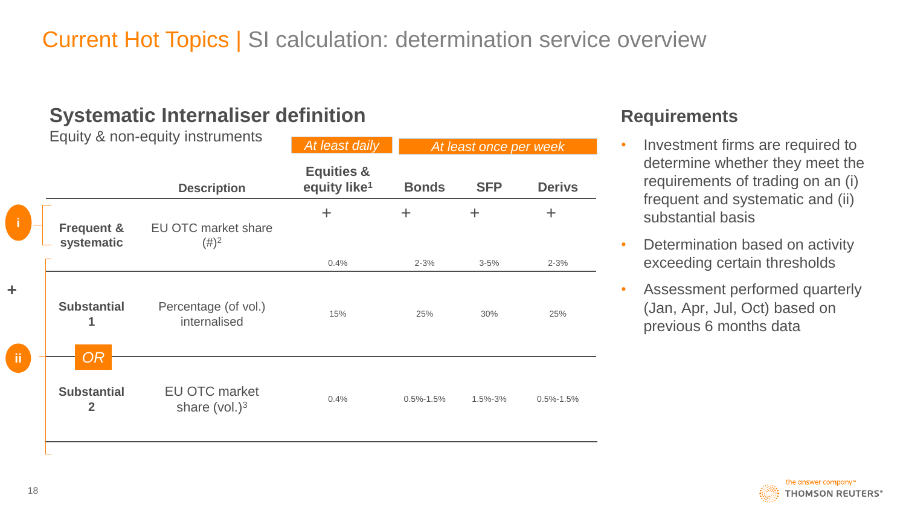# Current Hot Topics | SI calculation: determination service overview

### **Systematic Internaliser definition**

|         | Equity & non-equity instruments      |                                         | At least daily                                    | At least once per week |            |                 |  |
|---------|--------------------------------------|-----------------------------------------|---------------------------------------------------|------------------------|------------|-----------------|--|
|         |                                      | <b>Description</b>                      | <b>Equities &amp;</b><br>equity like <sup>1</sup> | <b>Bonds</b>           | <b>SFP</b> | <b>Derivs</b>   |  |
|         | <b>Frequent &amp;</b><br>systematic  | <b>EU OTC market share</b><br>$(\#)^2$  | $\pm$                                             | $\pm$                  | $\pm$      | $\pm$           |  |
|         |                                      |                                         | 0.4%                                              | $2 - 3%$               | $3 - 5%$   | $2 - 3%$        |  |
| Ł<br>ïi | <b>Substantial</b><br>1<br><b>OR</b> | Percentage (of vol.)<br>internalised    | 15%                                               | 25%                    | 30%        | 25%             |  |
|         | <b>Substantial</b><br>$\overline{2}$ | <b>EU OTC market</b><br>share $(vol.)3$ | 0.4%                                              | $0.5\% - 1.5\%$        | 1.5%-3%    | $0.5\% - 1.5\%$ |  |

#### **Requirements**

- Investment firms are required to determine whether they meet the requirements of trading on an (i) frequent and systematic and (ii) substantial basis
- Determination based on activity exceeding certain thresholds
- Assessment performed quarterly (Jan, Apr, Jul, Oct) based on previous 6 months data

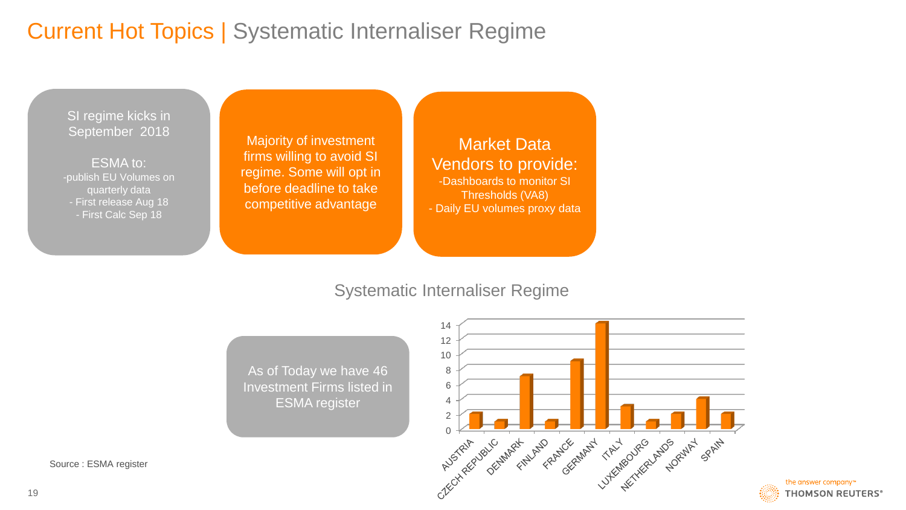# Current Hot Topics | Systematic Internaliser Regime

SI regime kicks in September 2018

ESMA to: -publish EU Volumes on quarterly data - First release Aug 18 - First Calc Sep 18

Majority of investment firms willing to avoid SI regime. Some will opt in before deadline to take competitive advantage

Market Data Vendors to provide: -Dashboards to monitor SI Thresholds (VA8) - Daily EU volumes proxy data

#### Systematic Internaliser Regime

As of Today we have 46 Investment Firms listed in ESMA register



the answer company™ **THOMSON REUTERS®** 

Source : ESMA register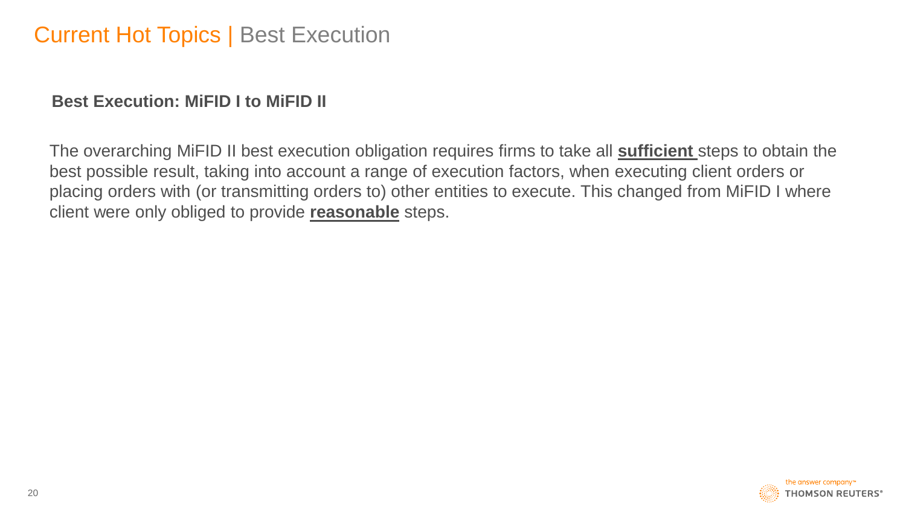#### **Best Execution: MiFID I to MiFID II**

The overarching MiFID II best execution obligation requires firms to take all **sufficient** steps to obtain the best possible result, taking into account a range of execution factors, when executing client orders or placing orders with (or transmitting orders to) other entities to execute. This changed from MiFID I where client were only obliged to provide **reasonable** steps.

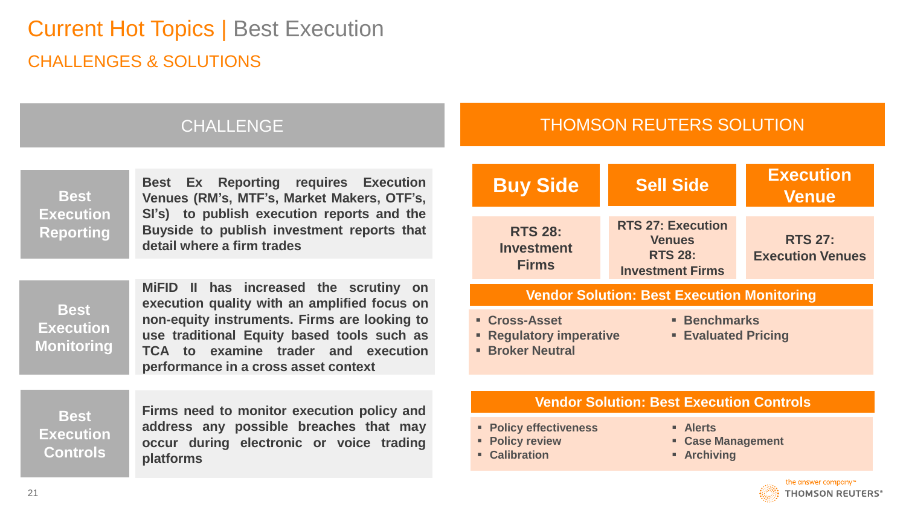# Current Hot Topics | Best Execution CHALLENGES & SOLUTIONS

#### CHALLENGE THOMSON REUTERS SOLUTION

| <b>Best</b><br><b>Execution</b><br><b>Reporting</b>  | <b>Best Ex Reporting requires Execution</b><br>Venues (RM's, MTF's, Market Makers, OTF's,<br>SI's) to publish execution reports and the<br>Buyside to publish investment reports that<br>detail where a firm trades                                                 | <b>Buy Side</b>                                                                                                                                                                                   | <b>Sell Side</b>                                                                                          | <b>Execution</b><br><b>Venue</b>          |  |
|------------------------------------------------------|---------------------------------------------------------------------------------------------------------------------------------------------------------------------------------------------------------------------------------------------------------------------|---------------------------------------------------------------------------------------------------------------------------------------------------------------------------------------------------|-----------------------------------------------------------------------------------------------------------|-------------------------------------------|--|
|                                                      |                                                                                                                                                                                                                                                                     | <b>RTS 28:</b><br><b>Investment</b><br><b>Firms</b>                                                                                                                                               | <b>RTS 27: Execution</b><br><b>Venues</b><br><b>RTS 28:</b><br><b>Investment Firms</b>                    | <b>RTS 27:</b><br><b>Execution Venues</b> |  |
| <b>Best</b><br><b>Execution</b><br><b>Monitoring</b> | MiFID II has increased the scrutiny on<br>execution quality with an amplified focus on<br>non-equity instruments. Firms are looking to<br>use traditional Equity based tools such as<br>TCA to examine trader and execution<br>performance in a cross asset context | <b>Vendor Solution: Best Execution Monitoring</b><br><b>- Benchmarks</b><br><b>- Cross-Asset</b><br><b>Example 2 Regulatory imperative</b><br><b>Evaluated Pricing</b><br><b>- Broker Neutral</b> |                                                                                                           |                                           |  |
| <b>Best</b><br><b>Execution</b><br><b>Controls</b>   | Firms need to monitor execution policy and<br>address any possible breaches that may<br>occur during electronic or voice trading<br><b>platforms</b>                                                                                                                | • Policy effectiveness<br>• Policy review<br>• Calibration                                                                                                                                        | <b>Vendor Solution: Best Execution Controls</b><br><b>Alerts</b><br>• Case Management<br><b>Archiving</b> |                                           |  |